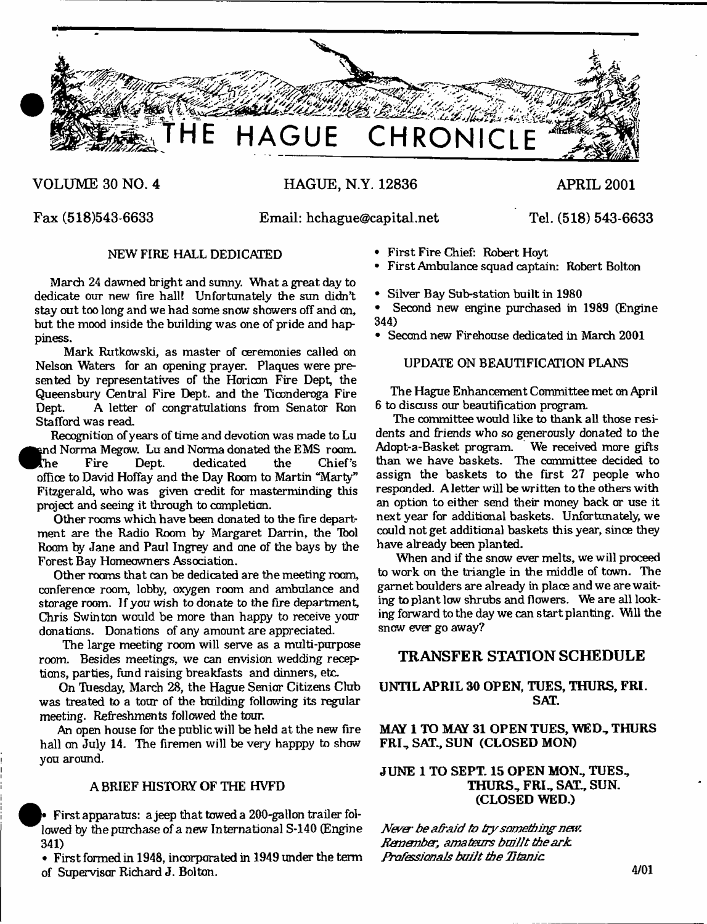

**VOLUME 30 NO. 4**

# **HAGUE, N.Y. 12836**

**APRIL 2001**

**Fax (518)543-6633**

**Email: [hchague@capital.net](mailto:hchague@capital.net)**

**Tel. (518) 543-6633**

## NEW FIRE HALL DEDICATED

March 24 dawned bright and sunny. What a great day to dedicate our new fire hall! Unfortunately the sun didn't stay out too long and we had some snow showers off and on, but the mood inside the building was one of pride and happiness.

Mark Rutkowski, as master of ceremonies called on Nelson Waters for an opening prayer. Plaques were presented by representatives of the Horioon Fire Dept, the Queensbury Central Fire Dept, and the Ticonderoga Fire Dept. A letter of congratulations from Senator Ron Stafford was read.

Recognition of years of time and devotion was made to Lu and Norma Megow. Lu and Norma donated the EMS room.<br>The Fire Dept. dedicated the Chief's  $\mathbb{R}$ e Fire Dept. dedicated the  $\mathbb{R}$ office to David Hoffay and the Day Room to Martin "Marty" Fitzgerald, who was given credit for masterminding this project and seeing it through to completion.

Other rooms which have been donated to the fire department are the Radio Room by Margaret Darrin, the Tbol Room by Jane and Paul Ingrey and one of the bays by the Forest Bay Homeowners Association.

Other rooms that can be dedicated are the meeting room, conference room, lobby, oxygen room and ambulance and storage room. If you wish to donate to the fire department, Chris Swinton would be more than happy to receive your donations. Donations of any amount are appreciated.

The large meeting room will serve as a multi-purpose room. Besides meetings, we can envision wedding receptions, parties, fund raising breakfasts and dinners, etc.

On Tuesday, March 28, the Hague Senior Citizens Club was treated to a tour of the building following its regular meeting. Refreshments followed the tour.

An open house for the public will be held at the new fire hall on July 14. The firemen will be very happpy to show you around.

## A BRIEF HISTORY OF THE HVFD

First apparatus: a jeep that towed a 200-gallon trailer followed by the purchase of a new International S-140 (Engine 341)

• First formed in 1948, incorporated in 1949 under the term of Supervisor Richard J. Bolton.

- First Fire Chief: Robert Hoyt
- First Ambulance squad captain: Robert Bolton
- Silver Bay Sub-station built in 1980

Second new engine purchased in 1989 (Engine 344)

• Second new Firehouse dedicated in March 2001

## UPDATE ON BEAUTIFICATION PLANS

The Hague Enhancement Committee met on April 6 to discuss our beautification program.

The committee would like to thank all those residents and friends who so generously donated to the Adopt-a-Basket program. We received more gifts than we have baskets. The committee decided to assign the baskets to the first 27 people who responded. A letter will be written to the others with an option to either send their money back or use it next year for additional baskets. Unfortunately, we could not get additional baskets this year, since they have already been planted.

When and if the snow ever melts, we will proceed to work on the triangle in the middle of town. The garnet boulders are already in place and we are waiting to plant low shrubs and flowers. We are all looking forward to the day we can start planting. Will the snow ever go away?

# **TRANSFER STATION SCHEDULE**

# **UNTIL APRIL 30 OPEN, TUES, THURS, FRI. SAT.**

## **MAY 1 TO MAY 31 OPEN TUES, WED., THURS FRI, SAT., SUN (CLOSED MON)**

## **JUNE 1 TO SEPT. 15 OPEN MON., TUES,** THURS., FRI., SAT., SUN. **(CLOSED WED.)**

*Never be afraid to try something new. H ananba, amateurs b in ']It the ark. Professionals b u iit the Titanic.*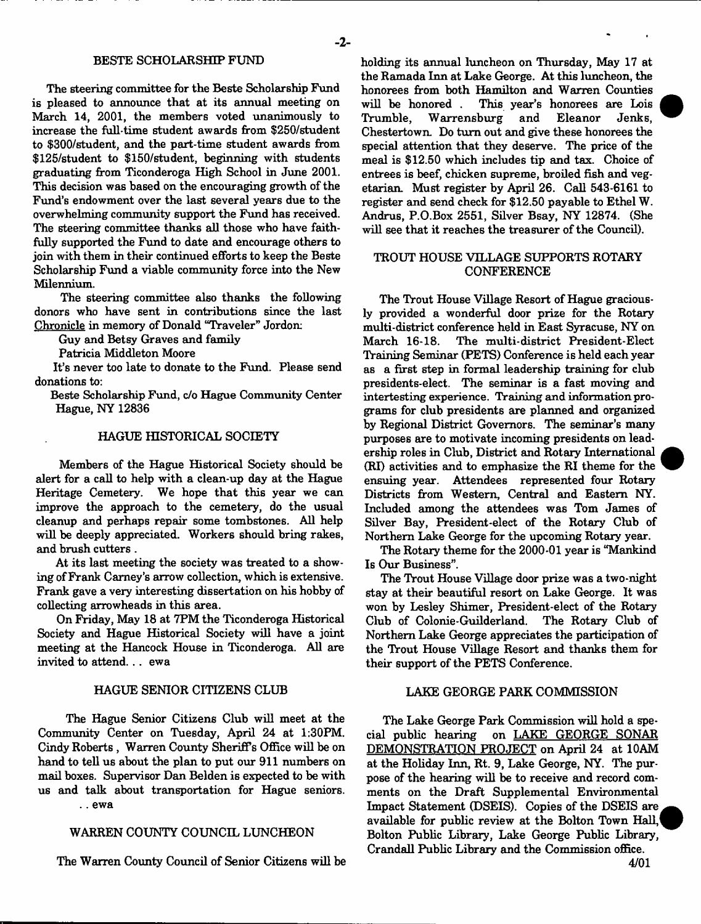- **2**-

The steering committee for the Beste Scholarship Fund is pleased to announce that at its annual meeting on March 14, 2001, the members voted unanimously to increase the full-time student awards from \$250/student to \$300/student, and the part-time student awards from \$125/student to \$150/student, beginning with students graduating from Ticonderoga High School in June 2001. This decision was based on the encouraging growth of the Fund's endowment over the last several years due to the overwhelming community support the Fund has received. The steering committee thanks all those who have faithfully supported the Fund to date and encourage others to join with them in their continued efforts to keep the Beste Scholarship Fund a viable community force into the New Milennium.

The steering committee also thanks the following donors who have sent in contributions since the last Chronicle in memory of Donald "Traveler" Jordon:

Guy and Betsy Graves and family

Patricia Middleton Moore

It's never too late to donate to the Fund. Please send donations to:

Beste Scholarship Fund, c/o Hague Community Center Hague, NY 12836

#### HAGUE HISTORICAL SOCIETY

Members of the Hague Historical Society should he alert for a call to help with a clean-up day at the Hague Heritage Cemetery. We hope that this year we can improve the approach to the cemetery, do the usual cleanup and perhaps repair some tombstones. All help will be deeply appreciated. Workers should bring rakes, and brush cutters .

At its last meeting the society was treated to a showing of Frank Carney's arrow collection, which is extensive. Frank gave a very interesting dissertation on his hobby of collecting arrowheads in this area.

On Friday, May 18 at 7PM the Ticonderoga Historical Society and Hague Historical Society will have a joint meeting at the Hancock House in Ticonderoga. All are invited to attend... ewa

#### HAGUE SENIOR CITIZENS CLUB

The Hague Senior Citizens Club will meet at the Community Center on Tuesday, April 24 at 1:30PM. Cindy Roberts , Warren County Sheriffs Office will be on hand to tell us about the plan to put our 911 numbers on mail boxes. Supervisor Dan Belden is expected to be with us and talk about transportation for Hague seniors.

.. ewa

### WARREN COUNTY COUNCIL LUNCHEON

The Warren County Council of Senior Citizens will be

holding its annual luncheon on Thursday, May 17 at the Ramada Inn at Lake George. At this luncheon, the honorees from both Hamilton and Warren Counties will be honored . This year's honorees are Lois Trumble, W arrensburg and Eleanor Jenks, Chestertown. Do turn out and give these honorees the special attention that they deserve. The price of the meal is \$12.50 which includes tip and tax. Choice of entrees is beef, chicken supreme, broiled fish and vegetarian. Must register by April 26. Call 543-6161 to register and send check for \$12.50 payable to Ethel W. Andrus, P.O.Box 2551, Silver Bsay, NY 12874. (She will see that it reaches the treasurer of the Council).

### TROUT HOUSE VILLAGE SUPPORTS ROTARY CONFERENCE

The Trout House Village Resort of Hague graciously provided a wonderful door prize for the Rotary multi-district conference held in East Syracuse, NY on March 16-18. The multi-district President-Elect Training Seminar (PEIS) Conference is held each year as a first step in formal leadership training for club presidents-elect. The seminar is a fast moving and intertesting experience. Training and information programs for club presidents are planned and organized by Regional District Governors. The seminar's many purposes are to motivate incoming presidents on leadership roles in Club, District and Rotary International (RI) activities and to emphasize the RI theme for the ensuing year. Attendees represented four Rotary Districts from Western, Central and Eastern NY. Included among the attendees was Tom James of Silver Bay, President-elect of the Rotary Club of Northern Lake George for the upcoming Rotary year.

The Rotary theme for the 2000-01 year is "Mankind Is Our Business".

The Trout House Village door prize was a two-night stay at their beautiful resort on Lake George. It was won by Lesley Shimer, President-elect of the Rotary Club of Colonie-Guilderland. The Rotary Club of Northern Lake George appreciates the participation of the Trout House Village Resort and thanks them for their support of the PETS Conference.

#### LAKE GEORGE PARK COMMISSION

The Lake George Park Commission will hold a special public hearing on LAKE GEORGE SONAR DEMONSTRATION PROJECT on April 24 at 10AM at the Holiday Inn, Rt. 9, Lake George, NY. The purpose of the hearing will be to receive and record comments on the Draft Supplemental Environmental Impact Statement (DSEIS). Copies of the DSEIS are available for public review at the Bolton Town Hall, Bolton Public Library, Lake George Public Library, Crandall Public Library and the Commission office. 4/01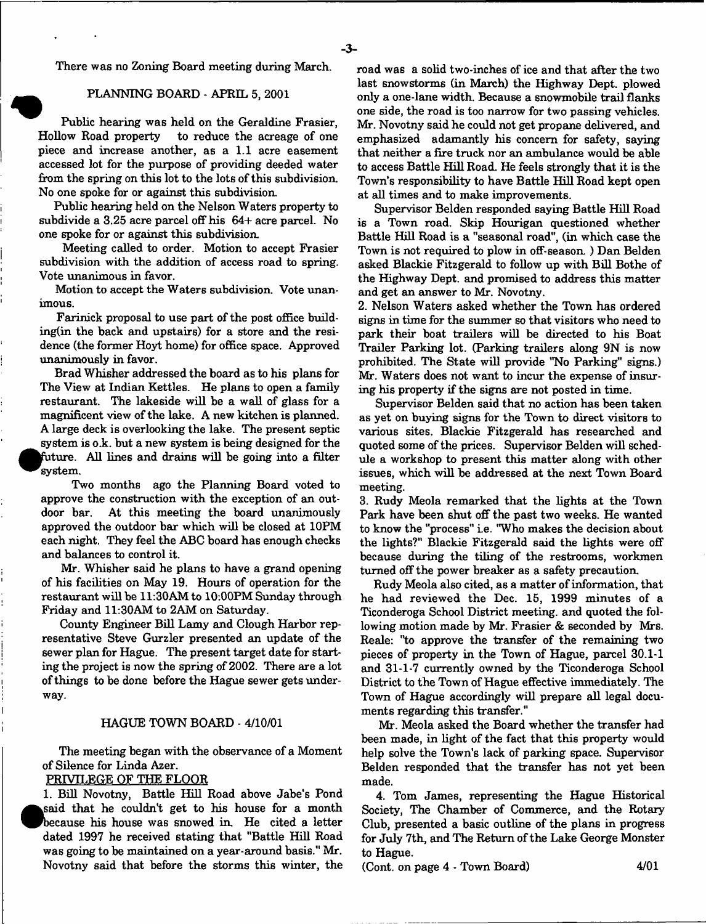There was no Zoning Board meeting during March.

#### PLANNING BOARD - APRIL 5, 2001

Public hearing was held on the Geraldine Frasier,<br>Hollow Road property to reduce the acreage of one to reduce the acreage of one piece and increase another, as a 1.1 acre easement accessed lot for the purpose of providing deeded water from the spring on this lot to the lots of this subdivision. No one spoke for or against this subdivision.

Public hearing held on the Nelson Waters property to subdivide a 3.25 acre parcel off his 64+acre parcel. No one spoke for or against this subdivision

Meeting called to order. Motion to accept Frasier subdivision with the addition of access road to spring. Vote unanimous in favor.

Motion to accept the Waters subdivision. Vote unanimous.

Farinick proposal to use part of the post office building(in the back and upstairs) for a store and the residence (the former Hoyt home) for office space. Approved unanimously in favor.

future. All lines and drains will be going into a filter Brad Whisher addressed the board as to his plans for The View at Indian Kettles. He plans to open a family restaurant. The lakeside will be a wall of glass for a magnificent view of the lake. A new kitchen is planned. A large deck is overlooking the lake. The present septic system is o.k. but a new system is being designed for the system.

Two months ago the Planning Board voted to approve the construction with the exception of an outdoor bar. At this meeting the board unanimously approved the outdoor bar which will be closed at 10PM each night. They feel the ABC board has enough checks and balances to control it.

Mr. Whisher said he plans to have a grand opening of his facilities on May 19. Hours of operation for the restaurant will be 11:30AM to 10:00PM Sunday through Friday and 11:30AM to 2AM on Saturday.

County Engineer Bill Lamy and Clough Harbor representative Steve Gurzler presented an update of the sewer plan for Hague. The present target date for starting the project is now the spring of 2002. There are a lot of things to be done before the Hague sewer gets underway.

#### HAGUE TOWN BOARD - 4/10/01

The meeting began with the observance of a Moment of Silence for Linda Azer.

#### PRIVILEGE OF THE FLOOR

1. Bill Novotny, Battle Hill Road above Jabe's Pond said that he couldn't get to his house for a month because his house was snowed in. He cited a letter dated 1997 he received stating that "Battle Hill Road was going to be maintained on a year-around basis." Mr. Novotny said that before the storms this winter, the road was a solid two-inches of ice and that after the two last snowstorms (in March) the Highway Dept, plowed only a one-lane width. Because a snowmobile trail flanks one side, the road is too narrow for two passing vehicles. Mr. Novotny said he could not get propane delivered, and emphasized adamantly his concern for safety, saying that neither a fire truck nor an ambulance would be able to access Battle Hill Road. He feels strongly that it is the Town's responsibility to have Battle Hill Road kept open at all times and to make improvements.

Supervisor Belden responded saying Battle Hill Road is a Town road. Skip Hourigan questioned whether Battle Hill Road is a "seasonal road", (in which case the Town is not required to plow in off-season. ) Dan Belden asked Blackie Fitzgerald to follow up with Bill Bothe of the Highway Dept, and promised to address this matter and get an answer to Mr. Novotny.

2. Nelson Waters asked whether the Town has ordered signs in time for the summer so that visitors who need to park their boat trailers will be directed to his Boat Trailer Parking lot. (Parking trailers along 9N is now prohibited. The State will provide "No Parking" signs.) Mr. Waters does not want to incur the expense of insuring his property if the signs are not posted in time.

Supervisor Belden said that no action has been taken as yet on buying signs for the Town to direct visitors to various sites. Blackie Fitzgerald has researched and quoted some of the prices. Supervisor Belden will schedule a workshop to present this matter along with other issues, which will be addressed at the next Town Board meeting.

3. Rudy Meola remarked that the lights at the Town Park have been shut off the past two weeks. He wanted to know the "process" i.e. "Who makes the decision about the lights?" Blackie Fitzgerald said the lights were off because during the tiling of the restrooms, workmen turned off the power breaker as a safety precaution.

Rudy Meola also cited, as a matter of information, that he had reviewed the Dec. 15, 1999 minutes of a Ticonderoga School District meeting, and quoted the following motion made by Mr. Frasier & seconded by Mrs. Reale: "to approve the transfer of the remaining two pieces of property in the Town of Hague, parcel 30.1-1 and 31-1-7 currently owned by the Ticonderoga School District to the Town of Hague effective immediately. The Town of Hague accordingly will prepare all legal documents regarding this transfer."

Mr. Meola asked the Board whether the transfer had been made, in light of the fact that this property would help solve the Town's lack of parking space. Supervisor Belden responded that the transfer has not yet been made.

4. Tom James, representing the Hague Historical Society, The Chamber of Commerce, and the Rotary Club, presented a basic outline of the plans in progress for July 7th, and The Return of the Lake George Monster to Hague.

(Cont. on page 4 - Town Board) 4/01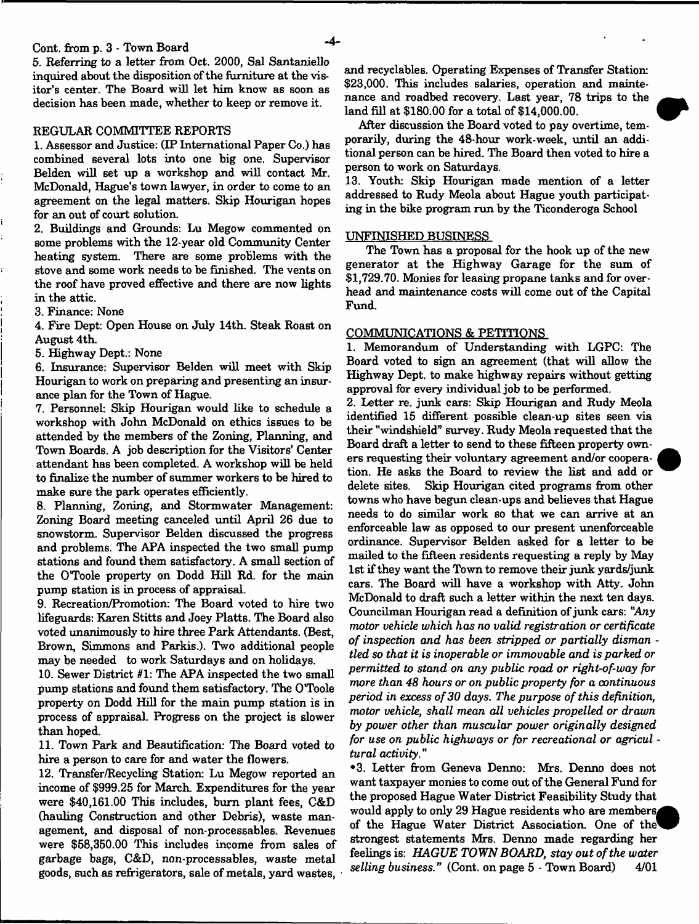### Cont. from p. 3 - Town Board

5. Referring to a letter from Oct. 2000, Sal Santaniello inquired about the disposition of the furniture at the visitor's center. The Board will let him know as soon as decision has been made, whether to keep or remove it.

#### REGULAR COMMITTEE REPORTS

1. Assessor and Justice: (IP International Paper Co.) has combined several lots into one big one. Supervisor Belden will set up a workshop and will contact Mr. McDonald, Hague's town lawyer, in order to come to an agreement on the legal matters. Skip Hourigan hopes for an out of court solution.

2. Buildings and Grounds: Lu Megow commented on some problems with the 12-year old Community Center heating system. There are some problems with the stove and some work needs to be finished. The vents on the roof have proved effective and there are now lights in the attic.

3. Finance: None

4. Fire Dept: Open House on July 14th. Steak Roast on August 4th.

5. Highway Dept.: None

6. Insurance: Supervisor Belden will meet with Skip Hourigan to work on preparing and presenting an insurance plan for the Town of Hague.

7. Personnel: Skip Hourigan would like to schedule a workshop with John McDonald on ethics issues to be attended by the members of the Zoning, Planning, and Town Boards. A job description for the Visitors' Center attendant has been completed. A workshop will be held to finalize the number of summer workers to be hired to make sure the park operates efficiently.

8. Planning, Zoning, and Stormwater Management: Zoning Board meeting canceled until April 26 due to snowstorm. Supervisor Belden discussed the progress and problems. The APA inspected the two small pump stations and found them satisfactory. A small section of the O'Toole property on Dodd Hill Rd. for the main pump station is in process of appraisal.

9. Recreation/Promotion: The Board voted to hire two lifeguards: Karen Stitts and Joey Platts. The Board also voted unanimously to hire three Park Attendants. (Best, Brown, Simmons and Parkis.). Two additional people may be needed to work Saturdays and on holidays.

10. Sewer District #1: The APA inspected the two small pump stations and found them satisfactory. The O'Toole property on Dodd Hill for the main pump station is in process of appraisal. Progress on the project is slower than hoped.

11. Town Park and Beautification: The Board voted to hire a person to care for and water the flowers.

12. Transfer/Recycling Station: Lu Megow reported an income of \$999.25 for March. Expenditures for the year were \$40,161.00 This includes, bum plant fees, C&D (hauling Construction and other Debris), waste management, and disposal of non-processables. Revenues were \$58,350.00 This includes income from sales of garbage bags, C&D, non-processables, waste metal goods, such as refrigerators, sale of metals, yard wastes,

and recyclables. Operating Expenses of Transfer Station: \$23,000. This includes salaries, operation and maintenance and roadbed recovery. Last year, 78 trips to the land fill at \$180.00 for a total of \$14,000.00.

After discussion the Board voted to pay overtime, temporarily, during the 48-hour work-week, until an additional person can be hired. The Board then voted to hire a person to work on Saturdays.

13. Youth: Skip Hourigan made mention of a letter addressed to Rudy Meola about Hague youth participating in the bike program run by the Ticonderoga School

## UNFINISHED BUSINESS

The Town has a proposal for the hook up of the new generator at the Highway Garage for the sum of \$1,729.70. Monies for leasing propane tanks and for overhead and maintenance costs will come out of the Capital Fund.

#### COMMUNICATIONS & PETITIONS

1. Memorandum of Understanding with LGPC: The Board voted to sign an agreement (that will allow the Highway Dept, to make highway repairs without getting approval for every individual job to be performed.

2. Letter re. junk cars: Skip Hourigan and Rudy Meola identified 15 different possible clean-up sites seen via their "windshield" survey. Rudy Meola requested that the Board draft a letter to send to these fifteen property owners requesting their voluntary agreement and/or cooperation. He asks the Board to review the list and add or delete sites. Skip Hourigan cited programs from other towns who have begun clean-ups and believes that Hague needs to do similar work so that we can arrive at an enforceable law as opposed to our present unenforceable ordinance. Supervisor Belden asked for a letter to be mailed to the fifteen residents requesting a reply by May 1st if they want the Town to remove their junk yards/junk cars. The Board will have a workshop with Atty. John McDonald to draft such a letter within the next ten days. Councilman Hourigan read a definition of junk cars: "*Any motor vehicle which has no valid registration or certificate of inspection and has been stripped or partially disman tied so that it is inoperable or immovable and is parked or permitted to stand on any public road or right-of-way for more than 48 hours or on public property for a continuous period in excess of 30 days. The purpose of this definition*, *motor vehicle, shall mean all vehicles propelled or drawn by power other than muscular power originally designed for use on public highways or for recreational or agricul tural activity*."

•3. Letter from Geneva Denno: Mrs. Denno does not want taxpayer monies to come out of the General Fund for the proposed Hague Water District Feasibility Study that would apply to only 29 Hague residents who are members of the Hague Water District Association. One of the" strongest statements Mrs. Denno made regarding her feelings is: *HAGUE TOWN BOARD, stay out of the water selling business.*" (Cont. on page 5 - Town Board) 4/01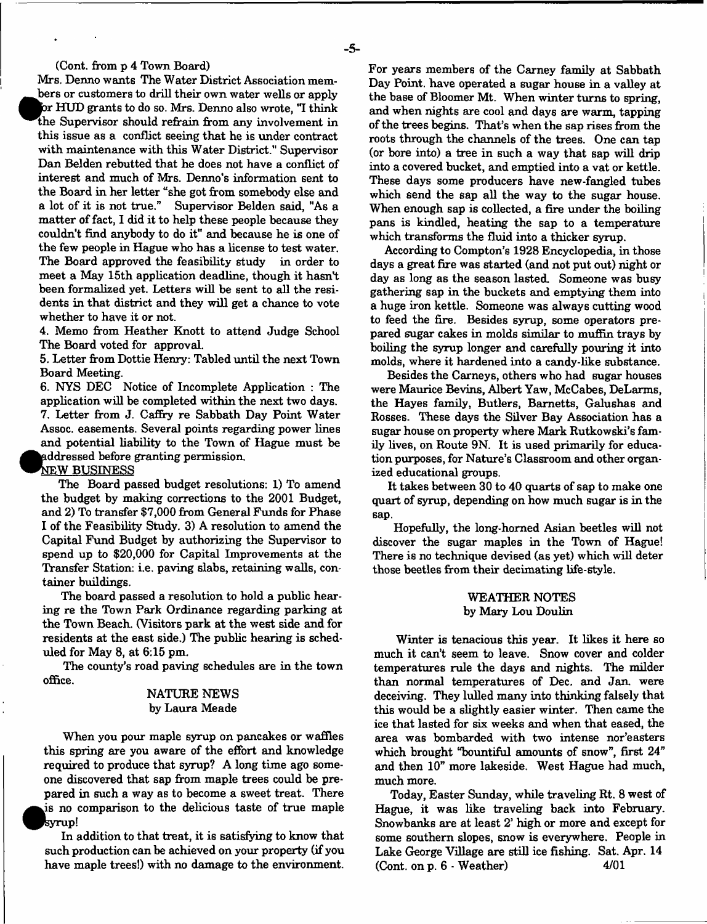(Cont. firom p 4 Town Board)

Mrs. Denno wants The Water District Association members or customers to drill their own water wells or apply for HUD grants to do so. Mrs. Denno also wrote, "I think the Supervisor should refrain from any involvement in this issue as a conflict seeing that he is under contract with maintenance with this Water District." Supervisor Dan Belden rebutted that he does not have a conflict of interest and much of Mrs. Denno's information sent to the Board in her letter "she got from somebody else and a lot of it is not true." Supervisor Belden said, "As a Supervisor Belden said, "As a matter of fact, I did it to help these people because they couldn't find anybody to do it" and because he is one of the few people in Hague who has a license to test water. The Board approved the feasibility study in order to meet a May 15th application deadline, though it hasn't been formalized yet. Letters will be sent to all the residents in that district and they will get a chance to vote whether to have it or not.

4. Memo from Heather Knott to attend Judge School The Board voted for approval.

5. Letter from Dottie Henry: Tabled until the next Town Board Meeting.

6. NYS DEC Notice of Incomplete Application : The application will be completed within the next two days. 7. Letter from J. Caffry re Sabbath Day Point Water Assoc, easements. Several points regarding power lines and potential liability to the Town of Hague must be **A** addressed before granting permission.

## **NEW BUSINESS**

The Board passed budget resolutions: I) To amend the budget by making corrections to the 2001 Budget, and 2) To transfer \$7,000 from General Funds for Phase I of the Feasibility Study. 3) A resolution to amend the Capital Fund Budget by authorizing the Supervisor to spend up to \$20,000 for Capital Improvements at the Transfer Station: i.e. paving slabs, retaining walls, container buildings.

The board passed a resolution to hold a public hearing re the Town Park Ordinance regarding parking at the Town Beach. (Visitors park at the west side and for residents at the east side.) The public hearing is scheduled for May 8, at 6:15 pm.

The county's road paving schedules are in the town office.

## NATURE NEWS by Laura Meade

When you pour maple syrup on pancakes or waffles this spring are you aware of the effort and knowledge required to produce that syrup? A long time ago someone discovered that sap from maple trees could be prepared in such a way as to become a sweet treat. There is no comparison to the delicious taste of true maple **b** syrup!

In addition to that treat, it is satisfying to know that such production can be achieved on your property (if you have maple trees!) with no damage to the environment.

For years members of the Carney family at Sabbath Day Point, have operated a sugar house in a valley at the base of Bloomer Mt. When winter turns to spring, and when nights are cool and days are warm, tapping of the trees begins. That's when the sap rises from the roots through the channels of the trees. One can tap (or bore into) a tree in such a way that sap will drip into a covered bucket, and emptied into a vat or kettle. These days some producers have new-fangled tubes which send the sap all the way to the sugar house. When enough sap is collected, a fire under the boiling pans is kindled, heating the sap to a temperature which transforms the fluid into a thicker syrup.

According to Compton's 1928 Encyclopedia, in those days a great fire was started (and not put out) night or day as long as the season lasted. Someone was busy gathering sap in the buckets and emptying them into a huge iron kettle. Someone was always cutting wood to feed the fire. Besides syrup, some operators prepared sugar cakes in molds similar to muffin trays by boiling the syrup longer and carefully pouring it into molds, where it hardened into a candy-like substance.

Besides the Carneys, others who had sugar houses were Maurice Bevins, Albert Yaw, McCabes, DeLarms, the Hayes family, Butlers, Barnetts, Galushas and Rosses. These days the Silver Bay Association has a sugar house on property where Mark Rutkowski's family lives, on Route 9N. It is used primarily for education purposes, for Nature's Classroom and other organized educational groups.

It takes between 30 to 40 quarts of sap to make one quart of syrup, depending on how much sugar is in the sap.

Hopefully, the long-homed Asian beetles will not discover the sugar maples in the Town of Hague! There is no technique devised (as yet) which will deter those beetles from their decimating life-style.

### WEATHER NOTES by Mary Lou Doulin

Winter is tenacious this year. It likes it here so much it can't seem to leave. Snow cover and colder temperatures rule the days and nights. The milder than normal temperatures of Dec. and Jan. were deceiving. They lulled many into thinking falsely that this would be a slightly easier winter. Then came the ice that lasted for six weeks and when that eased, the area was bombarded with two intense nor'easters which brought "bountiful amounts of snow", first 24" and then 10" more lakeside. West Hague had much, much more.

Today, Easter Sunday, while traveling Rt. 8 west of Hague, it was like traveling back into February. Snowbanks are at least 2' high or more and except for some southern slopes, snow is everywhere. People in Lake George Village are still ice fishing. Sat. Apr. 14  $(Cont. on p. 6 \cdot Weather)$  4/01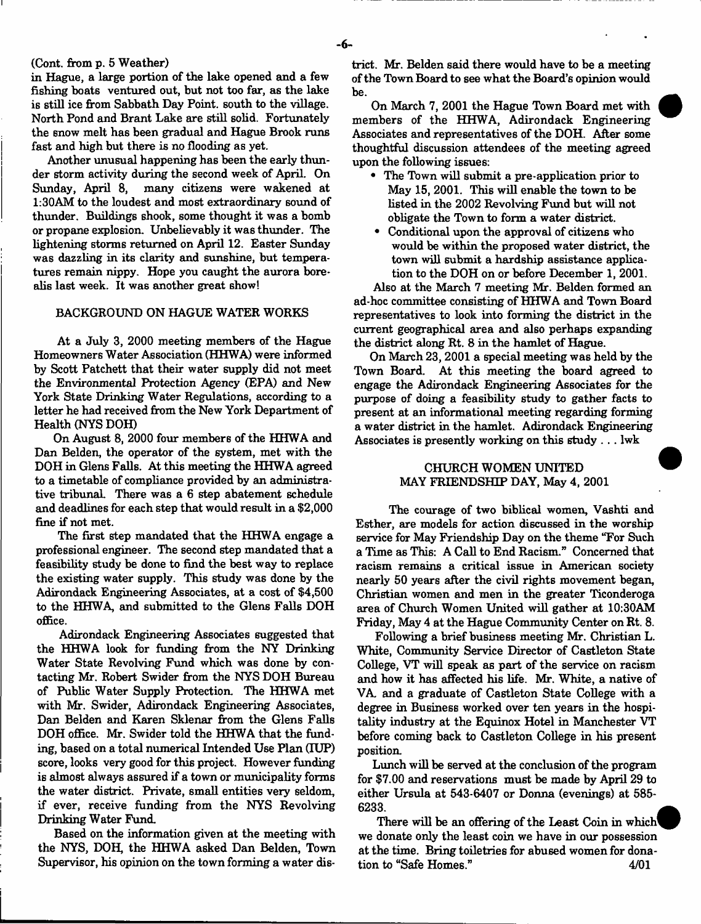#### (Cont. from p. 5 Weather)

in Hague, a large portion of the lake opened and a few fishing boats ventured out, but not too far, as the lake is still ice from Sabbath Day Point, south to the village. North Pond and Brant Lake are still solid. Fortunately the snow melt has been gradual and Hague Brook runs fast and high but there is no flooding as yet.

Another unusual happening has been the early thunder storm activity during the second week of April. On Sunday, April 8, many citizens were wakened at 1:30AM to the loudest and most extraordinary sound of thunder. Buildings shook, some thought it was a bomb or propane explosion. Unbelievably it was thunder. The lightening storms returned on April 12. Easter Sunday was dazzling in its clarity and sunshine, but temperatures remain nippy. Hope you caught the aurora borealis last week. It was another great show!

#### BACKGROUND ON HAGUE WATER WORKS

At a July 3, 2000 meeting members of the Hague Homeowners Water Association (HHWA) were informed by Scott Patchett that their water supply did not meet the Environmental Protection Agency (EPA) and New York State Drinking Water Regulations, according to a letter he had received from the New York Department of Health (NYS DOH)

On August 8, 2000 four members of the HHWA and Dan Belden, the operator of the system, met with the DOH in Glens Falls. At this meeting the HHWA agreed to a timetable of compliance provided by an administrative tribunal. There was a 6 step abatement schedule and deadlines for each step that would result in a \$2,000 fine if not met.

The first step mandated that the HHWA engage a professional engineer. The second step mandated that a feasibility study be done to find the best way to replace the existing water supply. This study was done by the Adirondack Engineering Associates, at a cost of \$4,500 to the HHWA, and submitted to the Glens Falls DOH office.

Adirondack Engineering Associates suggested that the HHWA look for funding from the NY Drinking Water State Revolving Fund which was done by contacting Mr. Robert Swider from the NYS DOH Bureau of Public Water Supply Protection. The HHWA met with Mr. Swider, Adirondack Engineering Associates, Dan Belden and Karen Sklenar from the Glens Falls DOH office. Mr. Swider told the HHWA that the funding, based on a total numerical Intended Use Plan (IUP) score, looks very good for this project. However funding is almost always assured if a town or municipality forms the water district. Private, small entities very seldom, if ever, receive funding from the NYS Revolving Drinking Water Fund.

Based on the information given at the meeting with the NYS, DOH, the HHWA asked Dan Belden, Town Supervisor, his opinion on the town forming a water district. Mr. Belden said there would have to be a meeting of the Town Board to see what the Board's opinion would be.

On March 7, 2001 the Hague Town Board met with members of the HHWA, Adirondack Engineering Associates and representatives of the DOH. After some thoughtful discussion attendees of the meeting agreed upon the following issues:

- The Town will submit a pre-application prior to May 15, 2001. This will enable the town to be listed in the 2002 Revolving Fund but will not obligate the Town to form a water district.
- Conditional upon the approval of citizens who would be within the proposed water district, the town will submit a hardship assistance application to the DOH on or before December 1, 2001.

Also at the March 7 meeting Mr. Belden formed an ad-hoc committee consisting of HHWA and Town Board representatives to look into forming the district in the current geographical area and also perhaps expanding the district along Rt. 8 in the hamlet of Hague.

On March 23,2001 a special meeting was held by the Town Board. At this meeting the board agreed to engage the Adirondack Engineering Associates for the purpose of doing a feasibility study to gather facts to present at an informational meeting regarding forming a water district in the hamlet. Adirondack Engineering Associates is presently working on this study . . . lwk

## CHURCH WOMEN UNITED MAY FRIENDSHIP DAY, May 4, 2001

The courage of two biblical women, Vashti and Esther, are models for action discussed in the worship service for May Friendship Day on the theme "For Such a Time as This: A Call to End Racism." Concerned that racism remains a critical issue in American society nearly 50 years after the civil rights movement began, Christian women and men in the greater Ticonderoga area of Church Women United will gather at 10:30AM Friday, May 4 at the Hague Community Center on Rt. 8.

Following a brief business meeting Mr. Christian L. White, Community Service Director of Castleton State College, VT will speak as part of the service on racism and how it has affected his life. Mr. White, a native of VA. and a graduate of Castleton State College with a degree in Business worked over ten years in the hospitality industry at the Equinox Hotel in Manchester VT before coming back to Castleton College in his present position.

Lunch will be served at the conclusion of the program for \$7.00 and reservations must be made by April 29 to either Ursula at 543-6407 or Donna (evenings) at 585- 6233.

There will be an offering of the Least Coin in which we donate only the least coin we have in our possession at the time. Bring toiletries for abused women for donation to "Safe Homes." 4/01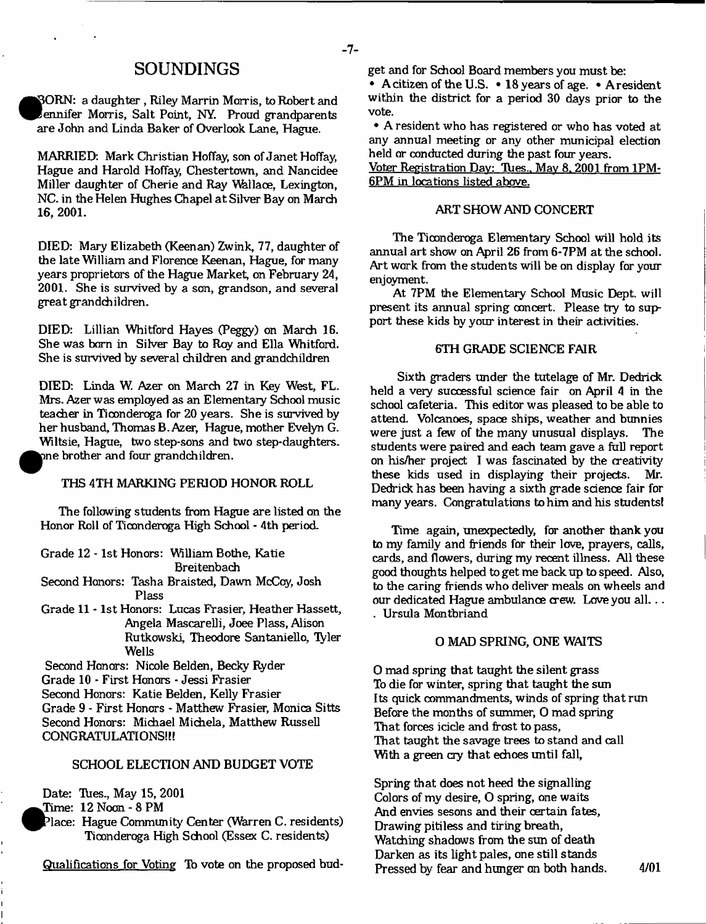# **SOUNDINGS**

**•** BORN: a daughter, Riley Marrin Morris, to Robert and ennifer Morris, Salt Point, NY. Proud grandparents are John and Linda Baker of Overlook Lane, Hague.

MARRIED: Mark Christian Hoffay, son of Janet Hoffay. Hague and Harold Hoffay, Chestertown, and Nancidee Miller daughter of Cherie and Ray Whllaoe, Lexington, NC. in the Helen Hughes Chapel at Silver Bay on March 16, 2001.

DIED: Mary Elizabeth (Keenan) Zwink, 77, daughter of the late William and Florence Keenan, Hague, for many years proprietors of the Hague Market, on February 24, 2001. She is survived by a son, grandson, and several great grandchildren.

DIED: Lillian Whitford Hayes (Peggy) on March 16. She was bam in Silver Bay to Roy and Ella Whitford. She is survived by several children and grandchildren

DIED: Linda W. Azer on March 27 in Key West, FL. Mrs. Azer was employed as an Elementary School music teacher in Tioonderoga for 20 years. She is survived by her husband, Thomas B. Azer, Hague, mother Evelyn G. Wiltsie, Hague, two step-sons and two step-daughters. one brother and four grandchildren.

## THS 4TH MARKING PERIOD HONOR ROLL

The following students from Hague are listed on the Honor Roll of Ticonderoga High School - 4th period.

Grade 12 - 1st Honors: William Bothe, Katie Breitenbach

Second Honors: Tasha Braisted, Dawn McCcy, Josh Plass

Grade 11 - 1st Honors: Lucas Frasier, Heather Hassett, Angela Mascarelli, Joee Plass, Alison Rutkcwski, Theodore Santaniello, TVler Wells

Second Honors: Nicole Belden, Becky Ryder Grade 10 - First Honors - Jessi Frasier

Second Honors: Katie Belden, Kelly Frasier Grade 9 - First Honors - Matthew Frasier, Monica Sitts Second Honors: Michael Michela, Matthew Russell CONGRATULATIONS!!!

## SCHOOL ELECTION AND BUDGET VOTE

Date: Hies., May 15, 2001

Time: 12 Noon - 8 PM

**•** 

Place: Hague Community Center (Warren C. residents) Tioonderoga High School (Essex C. residents)

Qualifications for Voting Tb vote on the proposed bud-

get and for School Board members you must be:

• A citizen of the U.S. • 18 years of age. • Aresident within the district for a period 30 days prior to the vote.

• A resident who has registered or who has voted at any annual meeting or any other municipal election held or conducted during the past four years.

Voter Registration Dav: Hies.. Mav 8. 2001 from 1PM-6PM in locations listed above.

## ART SHOW AND CONCERT

The Ticonderoga Elementary School will hold its annual art show an April 26 from 6-7PM at the school. Art work from the students will be on display for your enjoyment.

At 7PM the Elementary School Music Dept. will present its annual spring concert. Please try to support these kids by your interest in their activities.

## 6TH GRADE SCIENCE FAIR

Sixth graders under the tutelage of Mr. Dedrick held a very successful science fair on April 4 in the school cafeteria. This editor was pleased to be able to attend. Volcanoes, space ships, weather and bunnies were just a few of the many unusual displays. The students were paired and each team gave a fall report on his/her project 1 was fascinated by the creativity these kids used in displaying their projects. Mr. Dedrick has been having a sixth grade science fair for many years. Congratulations to him and his students!

Time again, unexpectedly, for another thank you to my family and friends for their love, prayers, calls, cards, and flowers, during my recent illness. All these good thoughts helped to get me back up to speed. Also, to the caring friends who deliver meals on wheels and our dedicated Hague ambulance crew. Love you all... . Ursula Mantbriand

# O MAD SPRING, ONE WAITS

O mad spring that taught the silent grass To die for winter, spring that taught the sun Its quick commandments, winds of spring that run Before the months of summer, O mad spring That forces icicle and frost to pass, That taught the savage trees to stand and call With a green cry that echoes until fall,

Spring that does not heed the signalling Colors of my desire, O spring, one waits And envies sesons and their certain fates, Drawing pitiless and tiring breath, Watching shadows from the sun of death Darken as its light pales, one still stands Pressed by fear and hunger on both hands. 4/01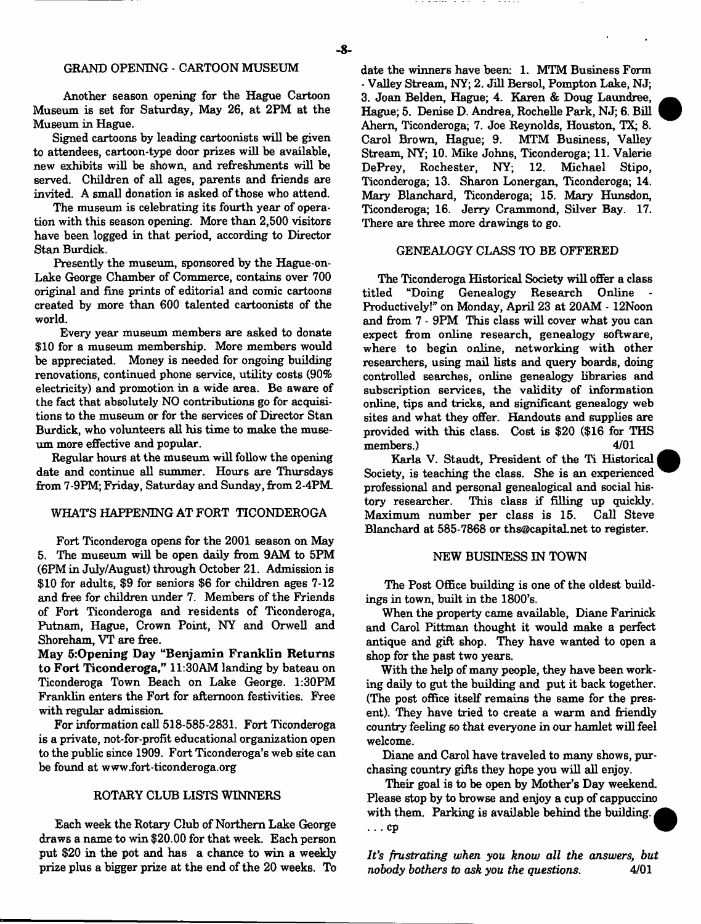## GRAND OPENING - CARTOON MUSEUM

Another season opening for the Hague Cartoon Museum is set for Saturday, May 26, at 2PM at the Museum in Hague.

Signed cartoons by leading cartoonists will be given to attendees, cartoon-type door prizes will be available, new exhibits will be shown, and refreshments will be served. Children of all ages, parents and friends are invited. A small donation is asked of those who attend.

The museum is celebrating its fourth year of operation with this season opening. More than 2,500 visitors have been logged in that period, according to Director Stan Burdick.

Presently the museum, sponsored by the Hague-on-Lake George Chamber of Commerce, contains over 700 original and fine prints of editorial and comic cartoons created by more than 600 talented cartoonists of the world.

Every year museum members are asked to donate \$10 for a museum membership. More members would be appreciated. Money is needed for ongoing building renovations, continued phone service, utility costs (90% electricity) and promotion in a wide area. Be aware of the fact that absolutely NO contributions go for acquisitions to the museum or for the services of Director Stan Burdick, who volunteers all his time to make the museum more effective and popular.

Regular hours at the museum will follow the opening date and continue all summer. Hours are Thursdays from 7-9FM; Friday, Saturday and Sunday, from 2-4PM

#### WHAT'S HAPPENING AT FORT TICONDEROGA

Fort Ticonderoga opens for the 2001 season on May 5. The museum will be open daily from 9AM to 5PM (6PM in July/August) through October 21. Admission is \$10 for adults, \$9 for seniors \$6 for children ages 7-12 and free for children under 7. Members of the Friends of Fort Ticonderoga and residents of Ticonderoga, Putnam, Hague, Crown Point, NY and Orwell and Shoreham, VT are free.

May 5:Opening Day "Benjamin Franklin Returns to Fort Ticonderoga," 11:30AM landing by bateau on Ticonderoga Town Beach on Lake George. 1:30PM Franklin enters the Fort for afternoon festivities. Free with regular admission.

For information call 518-585-2831. Fort Ticonderoga is a private, not-for-profit educational organization open to the public since 1909. Fort Ticonderoga's web site can be found at [www.fort-ticonderoga.org](http://www.fort-ticonderoga.org)

### ROTARY CLUB LISTS WINNERS

Each week the Rotary Club of Northern Lake George draws a name to win \$20.00 for that week. Each person put \$20 in the pot and has a chance to win a weekly prize plus a bigger prize at the end of the 20 weeks. To date the winners have been: 1. MTM Business Form - Valley Stream, NY; 2. Jill Bersol, Pompton Lake, NJ; 3. Joan Belden, Hague; 4. Karen & Doug Laundree, Hague; 5. Denise D. Andrea, Rochelle Park, NJ; 6. Bill Ahern, Ticonderoga; 7. Joe Reynolds, Houston, TX; 8. Carol Brown, Hague; 9. MTM Business, Valley Stream, NY; 10. Mike Johns, Ticonderoga; 11. Valerie DePrey, Rochester, NY; 12. Michael Stipo, Ticonderoga; 13. Sharon Lonergan, Ticonderoga; 14. Mary Blanchard, Ticonderoga; 15. Mary Hunsdon,

#### GENEALOGY CLASS TO BE OFFERED

Ticonderoga; 16. Jerry Crammond, Silver Bay. 17.

There are three more drawings to go.

The Ticonderoga Historical Society will offer a class titled "Doing Genealogy Research Online Productively!" on Monday, April 23 at 20AM - 12Noon and from 7 - 9PM This class will cover what you can expect from online research, genealogy software, where to begin online, networking with other researchers, using mail lists and query boards, doing controlled searches, online genealogy libraries and subscription services, the validity of information online, tips and tricks, and significant genealogy web sites and what they offer. Handouts and supplies are provided with this class. Cost is \$20 (\$16 for THS members.) 4/01

Karla V. Staudt, President of the Ti Historical Society, is teaching the class. She is an experienced professional and personal genealogical and social history researcher. This class if filling up quickly. Maximum number per class is 15. Call Steve Blanchard at 585-7868 or [ths@capital.net](mailto:ths@capital.net) to register.

#### NEW BUSINESS IN TOWN

The Post Office building is one of the oldest buildings in town, built in the 1800's.

When the property came available, Diane Farinick and Carol Pittman thought it would make a perfect antique and gift shop. They have wanted to open a shop for the past two years.

With the help of many people, they have been working daily to gut the building and put it back together. (The post office itself remains the same for the present), They have tried to create a warm and friendly country feeling so that everyone in our hamlet will feel welcome.

Diane and Carol have traveled to many shows, purchasing country gifts they hope you will all enjoy.

Their goal is to be open by Mother's Day weekend. Please stop by to browse and enjoy a cup of cappuccino with them. Parking is available behind the building. . . . cp

*It's frustrating when you know all the answers, but nobody bothers to ask you the questions.* 4/01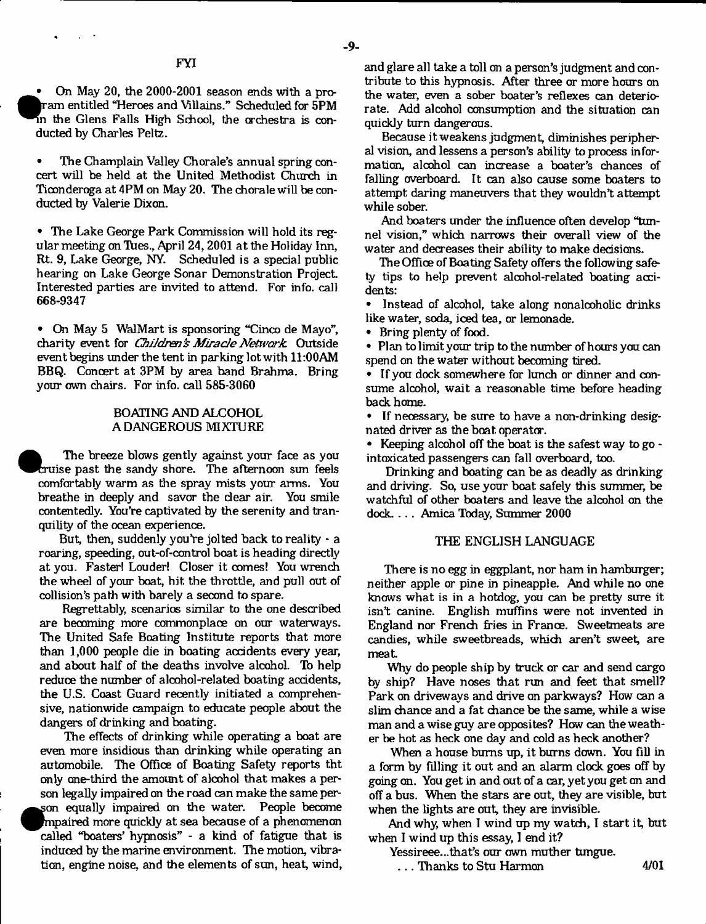## FYI

• On May 20, the 2000-2001 season ends with a pro-<br>
ram entitled "Heroes and Villains." Scheduled for 5PM<br>
in the Glens Falls High School, the crchestra is con-<br>
ducted by Charles Palts On May 20, the 2000-2001 season ends with a pro-|ram entitled "Heroes and Villains." Scheduled for 5PM ducted by Charles Peltz.

The Champlain Valley Chorale's annual spring concert will be held at the United Methodist Church in Ticonderoga at 4PM on May 20. The chorale will be conducted by Valerie Dixon.

• The Lake George Park Commission will hold its regular meeting on Tues., April 24, 2001 at the Holiday Inn. Rt. 9, Lake George, NY. Scheduled is a special public hearing on Lake George Sonar Demonstration Project Interested parties are invited to attend. For info, call 668-9347

• On May 5 WalMart is sponsoring "Cinco de Mayo", charity event for *Children's Miracle Network* Outside event begins under the tent in parking lot with 11:00AM BBQ. Concert at 3PM by area hand Brahma. Bring your own chairs. For info, call 585-3060

## BOATING AND ALCOHOL A DANGEROUS MIXTURE

The breeze blows gently against your face as you cruise past the sandy shore. The afternoon sun feels comfortably warm as the spray mists your arms. You breathe in deeply and savor the dear air. You smile contentedly. You're captivated by the serenity and tranquility of the ocean experience.

But, then, suddenly you're jolted back to reality  $\cdot$  a roaring, speeding, out-of-control boat is heading directly at you. Faster! Louder! Closer it comes! You wrench the wheel of your boat, hit the throttle, and pull out of collision's path with barely a second to spare.

Regrettably, scenarios similar to the one described are becoming more commonplace on our waterways. The United Safe Boating Institute reports that more than 1,000 people die in boating accidents every year, and about half of the deaths involve alcohol. To help reduce the number of alcohol-related boating accidents, the U.S. Coast Guard recently initiated a comprehensive, nationwide campaign to educate people about the dangers of drinking and boating.

The effects of drinking while operating a boat are even more insidious than drinking while operating an automobile. The Office of Boating Safety reports tht only one-third the amount of alcohol that makes a person legally impaired on the road can make the same per-  $\bullet$ son equally impaired on the water. People become mpaired more quickly at sea because of a phenomenon called "boaters' hypnosis" - a kind of fatigue that is induced by the marine environment. The motion, vibration, engine noise, and the elements of sun, heat, wind,

and glare all take a toll on a person's judgment and contribute to this hypnosis. After three or more hours on the water, even a sober boater's reflexes can deteriorate. Add alcohol consumption and the situation can quickly turn dangerous.

Because it weakens judgment, diminishes peripheral vision, and lessens a person's ability to process information, alcohol can increase a boater's chances of falling overboard. It can also cause some boaters to attempt daring maneuvers that they wouldn't attempt while sober.

And boaters under the influence often develop "tunnel vision," which narrows their overall view of the water and decreases their ability to make decisions.

The Office of Boating Safety offers the following safety tips to help prevent alcohol-related boating accidents:

• Instead of alcohol, take along nonalcoholic drinks like water, soda, iced tea, or lemonade.

• Bring plenty of food.

• Plan to limit your trip to the number of hours you can spend on the water without becoming tired.

• If you dock somewhere far lunch or dinner and consume alcohol, wait a reasonable time before heading back home.

• If necessary, be sure to have a non-drinking designated driver as the boat operator.

• Keeping alcohol off the boat is the safest way to go intoxicated passengers can fall overboard, too.

Drinking and boating can be as deadly as drinking and driving. So, use your boat safely this summer, be watchful of other boaters and leave the alcohol on the dock.. . . Arnica Today, Summer 2000

## THE ENGLISH LANGUAGE

There is no egg in eggplant, nor ham in hamburger; neither apple or pine in pineapple. And while no one knows what is in a hotdog, you can be pretty sure it isn't canine. English muffins were not invented in England nor French fries in France. Sweetmeats are candies, while sweetbreads, which aren't sweet, are meat.

Why do people ship by truck or car and send cargo by ship? Have noses that run and feet that smell? Park on driveways and drive on parkways? How can a slim chance and a fat chance be the same, while a wise man and a wise guy are opposites? How can the weather be hot as heck one day and cold as heck another?

When a house burns up, it burns down. You fill in a form by filling it out and an alarm clock goes off by going an. You get in and out of a car, yet you get an and off a bus. When the stars are out, they are visible, but when the lights are out, they are invisible.

And why, when I wind up my watch, I start it, but when I wind up this essay, I end it?

Yessireee...that's our own muther tungue.

... Thanks to Stu Harmon  $4/01$